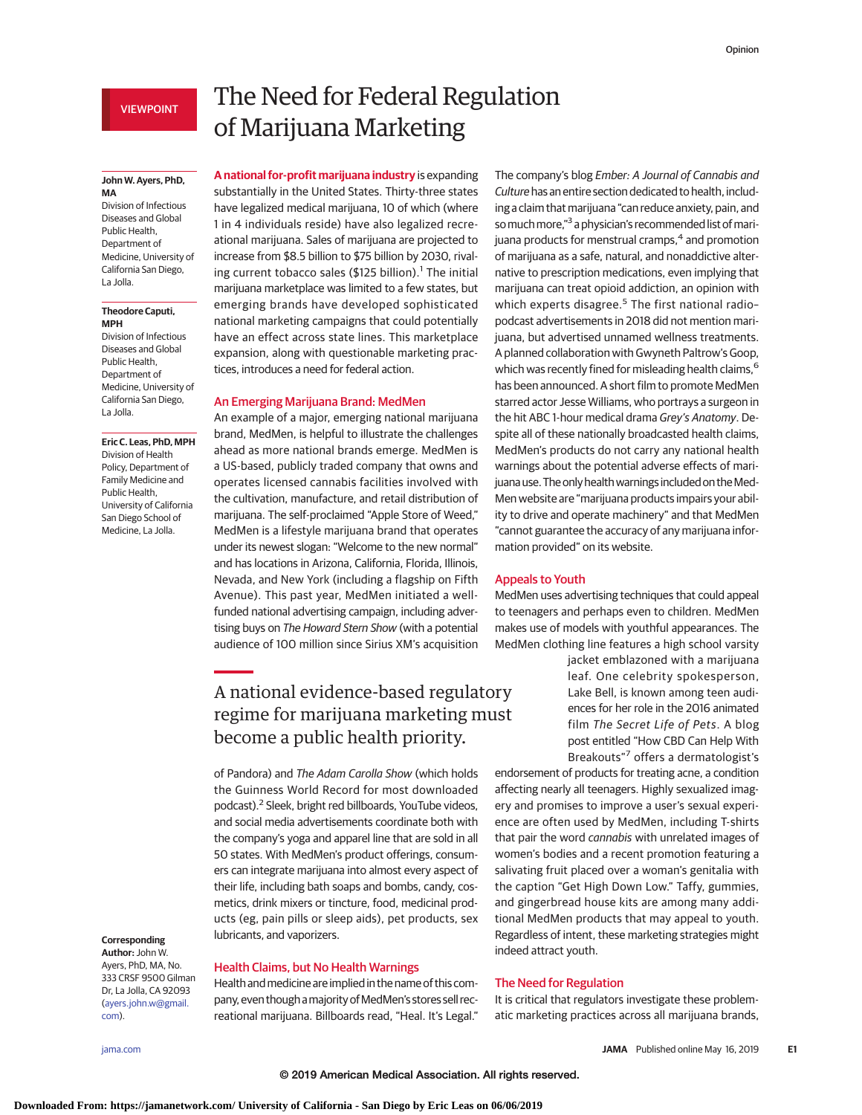# VIEWPOINT

### **John W. Ayers, PhD, MA**

Division of Infectious Diseases and Global Public Health, Department of Medicine, University of California San Diego, La Jolla.

### **Theodore Caputi, MPH**

Division of Infectious Diseases and Global Public Health, Department of Medicine, University of California San Diego, La Jolla.

### **Eric C. Leas, PhD, MPH**

Division of Health Policy, Department of Family Medicine and Public Health, University of California San Diego School of Medicine, La Jolla.

# The Need for Federal Regulation of Marijuana Marketing

**A national for-profit marijuana industry** is expanding substantially in the United States. Thirty-three states have legalized medical marijuana, 10 of which (where 1 in 4 individuals reside) have also legalized recreational marijuana. Sales of marijuana are projected to increase from \$8.5 billion to \$75 billion by 2030, rivaling current tobacco sales (\$125 billion).<sup>1</sup> The initial marijuana marketplace was limited to a few states, but emerging brands have developed sophisticated national marketing campaigns that could potentially have an effect across state lines. This marketplace expansion, along with questionable marketing practices, introduces a need for federal action.

# An Emerging Marijuana Brand: MedMen

An example of a major, emerging national marijuana brand, MedMen, is helpful to illustrate the challenges ahead as more national brands emerge. MedMen is a US-based, publicly traded company that owns and operates licensed cannabis facilities involved with the cultivation, manufacture, and retail distribution of marijuana. The self-proclaimed "Apple Store of Weed," MedMen is a lifestyle marijuana brand that operates under its newest slogan: "Welcome to the new normal" and has locations in Arizona, California, Florida, Illinois, Nevada, and New York (including a flagship on Fifth Avenue). This past year, MedMen initiated a wellfunded national advertising campaign, including advertising buys on The Howard Stern Show (with a potential audience of 100 million since Sirius XM's acquisition

# A national evidence-based regulatory regime for marijuana marketing must become a public health priority.

of Pandora) and The Adam Carolla Show (which holds the Guinness World Record for most downloaded podcast).2 Sleek, bright red billboards, YouTube videos, and social media advertisements coordinate both with the company's yoga and apparel line that are sold in all 50 states. With MedMen's product offerings, consumers can integrate marijuana into almost every aspect of their life, including bath soaps and bombs, candy, cosmetics, drink mixers or tincture, food, medicinal products (eg, pain pills or sleep aids), pet products, sex lubricants, and vaporizers.

Health andmedicine are implied in the name of this company, even though a majority of MedMen's stores sell recreational marijuana. Billboards read, "Heal. It's Legal."

Health Claims, but No Health Warnings

### **Corresponding Author:** John W.

Ayers, PhD, MA, No. 333 CRSF 9500 Gilman Dr, La Jolla, CA 92093 [\(ayers.john.w@gmail.](mailto:ayers.john.w@gmail.com) [com\)](mailto:ayers.john.w@gmail.com).

The company's blog Ember: A Journal of Cannabis and Culture has an entire section dedicated to health, including a claim that marijuana "can reduce anxiety, pain, and so much more,"<sup>3</sup> a physician's recommended list of marijuana products for menstrual cramps,<sup>4</sup> and promotion of marijuana as a safe, natural, and nonaddictive alternative to prescription medications, even implying that marijuana can treat opioid addiction, an opinion with which experts disagree.<sup>5</sup> The first national radiopodcast advertisements in 2018 did not mention marijuana, but advertised unnamed wellness treatments. A planned collaboration with Gwyneth Paltrow's Goop, which was recently fined for misleading health claims,<sup>6</sup> has been announced. A short film to promote MedMen starred actor Jesse Williams, who portrays a surgeon in the hit ABC 1-hour medical drama Grey's Anatomy. Despite all of these nationally broadcasted health claims, MedMen's products do not carry any national health warnings about the potential adverse effects of marijuana use. The only health warnings included on the Med-Men website are "marijuana products impairs your ability to drive and operate machinery" and that MedMen "cannot guarantee the accuracy of any marijuana information provided" on its website.

### Appeals to Youth

MedMen uses advertising techniques that could appeal to teenagers and perhaps even to children. MedMen makes use of models with youthful appearances. The MedMen clothing line features a high school varsity

> jacket emblazoned with a marijuana leaf. One celebrity spokesperson, Lake Bell, is known among teen audiences for her role in the 2016 animated film The Secret Life of Pets. A blog post entitled "How CBD Can Help With Breakouts"<sup>7</sup> offers a dermatologist's

endorsement of products for treating acne, a condition affecting nearly all teenagers. Highly sexualized imagery and promises to improve a user's sexual experience are often used by MedMen, including T-shirts that pair the word cannabis with unrelated images of women's bodies and a recent promotion featuring a salivating fruit placed over a woman's genitalia with the caption "Get High Down Low." Taffy, gummies, and gingerbread house kits are among many additional MedMen products that may appeal to youth. Regardless of intent, these marketing strategies might indeed attract youth.

## The Need for Regulation

It is critical that regulators investigate these problematic marketing practices across all marijuana brands,